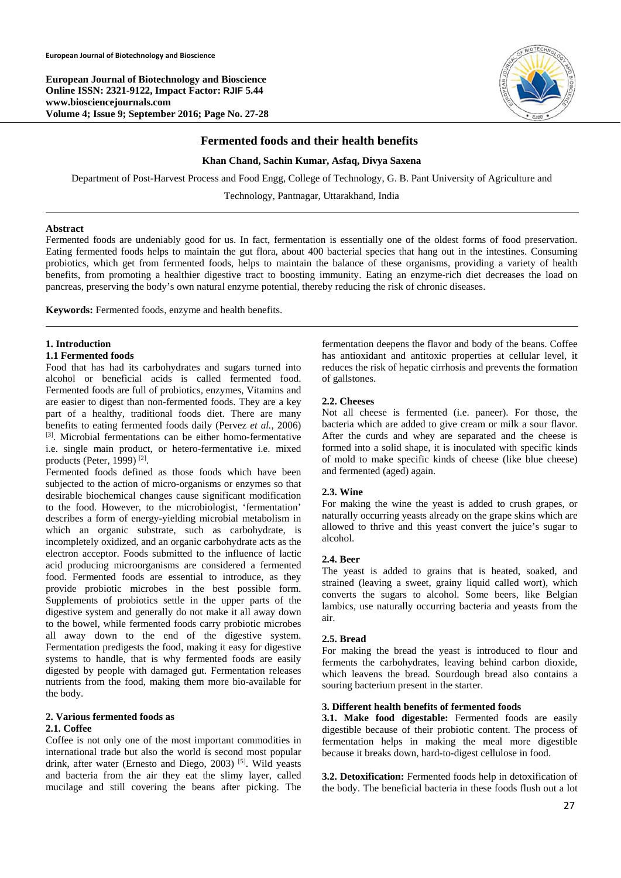**European Journal of Biotechnology and Bioscience Online ISSN: 2321-9122, Impact Factor: RJIF 5.44 www.biosciencejournals.com Volume 4; Issue 9; September 2016; Page No. 27-28** 



# **Fermented foods and their health benefits**

#### **Khan Chand, Sachin Kumar, Asfaq, Divya Saxena**

Department of Post-Harvest Process and Food Engg, College of Technology, G. B. Pant University of Agriculture and

Technology, Pantnagar, Uttarakhand, India

#### **Abstract**

Fermented foods are undeniably good for us. In fact, fermentation is essentially one of the oldest forms of food preservation. Eating fermented foods helps to maintain the gut flora, about 400 bacterial species that hang out in the intestines. Consuming probiotics, which get from fermented foods, helps to maintain the balance of these organisms, providing a variety of health benefits, from promoting a healthier digestive tract to boosting immunity. Eating an enzyme-rich diet decreases the load on pancreas, preserving the body's own natural enzyme potential, thereby reducing the risk of chronic diseases.

**Keywords:** Fermented foods, enzyme and health benefits.

### **1. Introduction**

### **1.1 Fermented foods**

Food that has had its carbohydrates and sugars turned into alcohol or beneficial acids is called fermented food. Fermented foods are full of probiotics, enzymes, Vitamins and are easier to digest than non-fermented foods. They are a key part of a healthy, traditional foods diet. There are many benefits to eating fermented foods daily (Pervez *et al.*, 2006) [3]. Microbial fermentations can be either homo-fermentative i.e. single main product, or hetero-fermentative i.e. mixed products (Peter,  $1999$ )<sup>[2]</sup>.

Fermented foods defined as those foods which have been subjected to the action of micro-organisms or enzymes so that desirable biochemical changes cause significant modification to the food. However, to the microbiologist, 'fermentation' describes a form of energy-yielding microbial metabolism in which an organic substrate, such as carbohydrate, is incompletely oxidized, and an organic carbohydrate acts as the electron acceptor. Foods submitted to the influence of lactic acid producing microorganisms are considered a fermented food. Fermented foods are essential to introduce, as they provide probiotic microbes in the best possible form. Supplements of probiotics settle in the upper parts of the digestive system and generally do not make it all away down to the bowel, while fermented foods carry probiotic microbes all away down to the end of the digestive system. Fermentation predigests the food, making it easy for digestive systems to handle, that is why fermented foods are easily digested by people with damaged gut. Fermentation releases nutrients from the food, making them more bio-available for the body.

# **2. Various fermented foods as**

### **2.1. Coffee**

Coffee is not only one of the most important commodities in international trade but also the world ís second most popular drink, after water (Ernesto and Diego, 2003) [5]. Wild yeasts and bacteria from the air they eat the slimy layer, called mucilage and still covering the beans after picking. The

fermentation deepens the flavor and body of the beans. Coffee has antioxidant and antitoxic properties at cellular level, it reduces the risk of hepatic cirrhosis and prevents the formation of gallstones.

#### **2.2. Cheeses**

Not all cheese is fermented (i.e. paneer). For those, the bacteria which are added to give cream or milk a sour flavor. After the curds and whey are separated and the cheese is formed into a solid shape, it is inoculated with specific kinds of mold to make specific kinds of cheese (like blue cheese) and fermented (aged) again.

### **2.3. Wine**

For making the wine the yeast is added to crush grapes, or naturally occurring yeasts already on the grape skins which are allowed to thrive and this yeast convert the juice's sugar to alcohol.

#### **2.4. Beer**

The yeast is added to grains that is heated, soaked, and strained (leaving a sweet, grainy liquid called wort), which converts the sugars to alcohol. Some beers, like Belgian lambics, use naturally occurring bacteria and yeasts from the air.

### **2.5. Bread**

For making the bread the yeast is introduced to flour and ferments the carbohydrates, leaving behind carbon dioxide, which leavens the bread. Sourdough bread also contains a souring bacterium present in the starter.

# **3. Different health benefits of fermented foods**

**3.1. Make food digestable:** Fermented foods are easily digestible because of their probiotic content. The process of fermentation helps in making the meal more digestible because it breaks down, hard-to-digest cellulose in food.

**3.2. Detoxification:** Fermented foods help in detoxification of the body. The beneficial bacteria in these foods flush out a lot